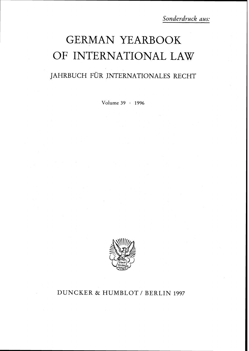# GERMAN YEARBOOK OF INTERNATIONAL LAW

## JAHRBUCH FÜR INTERNATIONALES RECHT

Volume 39 . 1996



## DUNCKER & HUMBLOT / BERLIN 1997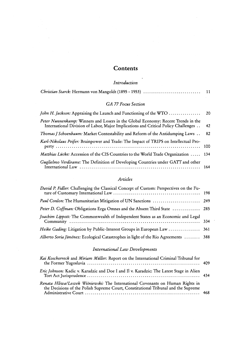## **Contents**

## *Introduction*

|--|

## *GA* **77** *Focus Section*

| Peter Nunnenkamp: Winners and Losers in the Global Economy: Recent Trends in the<br>International Division of Labor, Major Implications and Critical Policy Challenges | 42    |
|------------------------------------------------------------------------------------------------------------------------------------------------------------------------|-------|
| <i>Thomas J Schoenbaum:</i> Market Contestability and Reform of the Antidumping Laws                                                                                   | 82    |
| Karl-Nikolaus Peifer: Brainpower and Trade: The Impact of TRIPS on Intellectual Pro-                                                                                   | - 100 |
| Matthias Lücke: Accession of the CIS Countries to the World Trade Organization  134                                                                                    |       |
| Guglielmo Verdirame: The Definition of Developing Countries under GATT and other                                                                                       |       |

## *Articles*

| David P. Fidler: Challenging the Classical Concept of Custom: Perspectives on the Fu- |  |
|---------------------------------------------------------------------------------------|--|
| Paul Conlon: The Humanitarian Mitigation of UN Sanctions  249                         |  |
| Peter D. Coffman: Obligations Erga Omnes and the Absent Third State  285              |  |
| Joachim Lippott: The Commonwealth of Independent States as an Economic and Legal      |  |
| Heike Gading: Litigation by Public-Interest Groups in European Law  361               |  |
| Alberto Soria Jiménez: Ecological Catastrophes in light of the Rio Agreements  388    |  |

## *International Law Developments*

| Kai Koschorreck and Miriam Müller: Report on the International Criminal Tribunal for                                                                                 |  |
|----------------------------------------------------------------------------------------------------------------------------------------------------------------------|--|
| Eric Johnson: Kadic v. Karadzic and Doe I and Il v. Karadzic: The Latest Stage in Alien                                                                              |  |
| Renata Hliwa/Leszek Wiśniewski: The International Covenants on Human Rights in<br>the Decisions of the Polish Supreme Court, Constitutional Tribunal and the Supreme |  |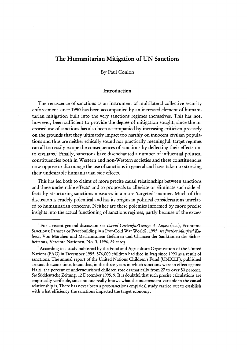## **The Humanitarian Mitigation of UN Sanctions**

By Paul Conlon

#### **Introduction**

The renascence of sanctions as an instrument of multilateral collective security enforcement since 1990 has been accompanied by an increased element of humanitarian mitigation built into the very sanctions regimes themselves. This has not, however, been sufficient to provide the degree of mitigation sought, since the increased use of sanctions has also been accompanied by increasing criticism precisely on the grounds that they ultimately impact too harshly on innocent civilian populations and thus are neither ethically sound nor practically meaningful: target regimes can all too easily escape the consequences of sanctions by deflecting their effects onto civilians.' Finally, sanctions have disenchanted a number of influential political constituencies both in Western and non-Western societies and these constituencies now oppose or discourage the use of sanctions in general and have taken to stressing their undesirable humanitarian side effects.

This has led both to claims of more precise causal relationships between sanctions and these undesirable effects<sup>2</sup> and to proposals to alleviate or eliminate such side effects by structuring sanctions measures in a more 'targeted' manner. Much of this discussion is crudely polemical and has its origins in political considerations unrelated to humanitarian concerns. Neither are these polemics informed by more precise insights into the actual functioning of sanctions regimes, partly because of the excess

<sup>&</sup>lt;sup>1</sup> For a recent general discussion see *David Cortright/George A. Lopez* (eds.), Economic Sanctions: Panacea or Peacebuilding in a Post-Cold War World?, 1995; *see further Manfied Kulessa,* Von Marchen und Mechanismen: Gefahren und Chancen der Sanktionen des Sicherheitsrats, Vereinte Nationen, No. 3, 1996, 89 et *seq.* 

<sup>&</sup>lt;sup>2</sup> According to a study published by the Food and Agriculture Organisation of the United Nations (FAO) in December 1995, 576,000 children had died in Iraq since 1990 as a result of sanctions. The annual report of the United Nations Children's Fund (UNICEF), published around the same time, found that, in the three years in which sanctions were in effect against Haiti, the percent of undernourished children rose dramatically from 27 to over 50 percent. *See* Siiddeutsche Zeitung, **12** December 1995,9. It is doubtful that **such** precise calculations are empirically verifiable, since no one really knows what the independent variable in the causal relationship is. There has never been a post-sanctions empirical study carried out to establish with what efficiency the sanctions impacted the target economy.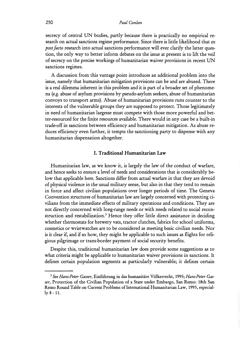secrecy of central UN bodies, partly because there is practically no empirical research on actual sanctions regime performance. Since there is little likelihood that **ex**  *postfacto* research into actual sanctions performance will ever clarify the latter question, the only way to better inform debates on the issue at present is to lift the veil of secrecy on the precise workings of humanitarian waiver provisions in recent UN sanctions regimes.

A discussion from this vantage point introduces an additional problem into the issue, namely that humanitarian mitigation provisions can be and are abused. There is a real dilemma inherent in this problem and it is part of a broader set of phenomena (e.g. abuse of asylum provisions by pseudo-asylum seekers, abuse of humanitarian convoys to transport arms). Abuse of humanitarian provisions runs counter to the interests of the vulnerable groups they are supposed to protect. Those legitimately in need of humanitarian largesse must compete with those more powerful and better-resourced for the finite resources available. There would in any case be a built-in trade-off in sanctions between efficiency and humanitarian mitigation. As abuse reduces efficiency even further, it tempts the sanctioning party to dispense with any humanitarian dispensation altogether.

#### I. Traditional Humanitarian Law

Humanitarian law, as we know it, is largely the law of the conduct of warfare, and hence seeks to ensure a level of needs and considerations that is considerably below that applicable here. Sanctions differ from actual warfare in that they are devoid of physical violence in the usual military sense, but also in that they tend to remain in force and affect civilian populations over longer periods of time. The Geneva Convention structures of humanitarian law are largely concerned with protecting civilians from the immediate effects of military operations and conditions. They are not directly concerned with long-range needs or with needs related to social reconstruction and restabilization.<sup>3</sup> Hence they offer little direct assistance in deciding whether thermostats for brewery vats, tractor clutches, fabrics for school uniforms, cosmetics or wristwatches are to be considered as meeting basic civilian needs. Nor is it clear if, and if so how, they might be applicable to such issues as flights for religious pilgrimage or trans-border payment of social security benefits.

Despite this, traditional humanitarian law does provide some suggestions as to what criteria might be applicable to humanitarian waiver provisions in sanctions. It defines certain population segments as particularly vulnerable; it defines certain -

<sup>&#</sup>x27; *See Hans-Peter Gasser,* Einfiihrung *in* das humanitare Volkerrecht, 1995; *Hans-Peter Gasser,* Protection of the Civilian Population of a State under Embargo, San Remo: 18th San Remo Round Table on Current Problems of International Humanitarian Law, 1993, especially 8 - 11.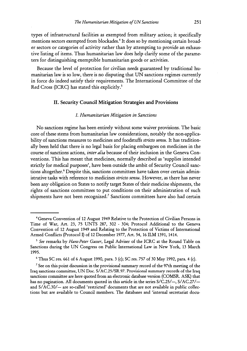types of infrastructural facilities as exempted from military action; it specifically mentions sectors exempted from blockades.<sup>4</sup> It does so by mentioning certain broader sectors or categories of activity rather than by attempting to provide an exhaustive listing of items. Thus humanitarian law does help clarify some of the parameters for distinguishing exemptible humanitarian goods or activities.

Because the level of protection for civilian needs guaranteed by traditional humanitarian law is so low, there is no disputing that UN sanctions regimes currently in force do indeed satisfy their requirements. The International Committee of the Red Cross (ICRC) has stated this explicitly.<sup>5</sup>

#### **11. Security Council Mitigation Strategies and Provisions**

#### *I. Humanitarian Mitigation in Sanctions*

No sanctions regime has been entirely without some waiver provisions. The basic core of these stems from humanitarian law considerations, notably the non-applicability of sanctions measures to medicines and foodstuffs *stricto sensu.* It has traditionally been held that there is no legal basis for placing embargoes on medicines in the course of sanctions actions, *inter alia* because of their inclusion in the Geneva Conventions. This has meant that medicines, normally described as 'supplies intended strictly for medical purposes', have been outside the ambit of Security Council sanctions altogether.<sup>6</sup> Despite this, sanctions committees have taken over certain administrative tasks with reference to medicines *stricto sensu.* However, as there has never been any obligation on States to notify target States of their medicine shipments, the rights of sanctions committees to put conditions on their administration of such shipments have not been recognized.' Sanctions committees have also had certain

<sup>4</sup>Geneva Convention of 12 August 1949 Relative to the Protection of Civilian Persons in Time of War, Art. 23, 75 UNTS 287, 302 - 304; Protocol Additional to the Geneva Convention of 12 August 1949 and Relating to the Protection of Victims of International Armed Conflicts (Protocol I) of 12 December 1977, Art. 54, 16 ILM 1391, 1414.

*See* remarks by *Hans-Peter Gasser,* Legal Adviser of the ICRC at the Round Table on Sanctions during the UN Congress on Public International Law in New York, 13 March 1995.

Thus SC res. 661 of 6 August 1990, para. 3 (c); SC res. 757 of 30 May 1992, para. 4 (c).

<sup>&</sup>lt;sup>7</sup> See on this point discussion in the provisional summary record of the 97th meeting of the Iraq sanctions committee, UN Doc. S/AC.25/SR.97. Provisional summary records of the Iraq sanctions committee are here quoted from an electronic database version (COMSR. ASK) that has no pagination. All documents quoted in this article in the series  $S/C.25/-, S/AC.27/$ and S/AC.30/- are so-called 'restricted' documents that are not available in public collections but are available to Council members. The databases and 'internal secretariat docu-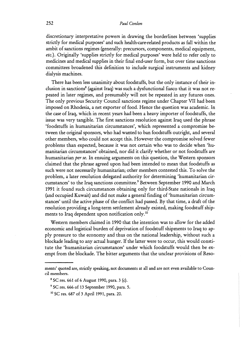discretionary interpretative powers in drawing the borderlines between 'supplies strictly for medical purposes' and such health-care-related products as fall within the ambit of sanctions regimes (generally: precursors, components, medical equipment, etc.). Originally 'supplies strictly for medical purposes' were held to refer only to medicines and medical supplies in their final end-user form, but over time sanctions committees broadened this definition to include surgical instruments and kidney dialysis machines.

There has been less unanimity about foodstuffs, but the only instance of their inclusion in sanctions<sup>8</sup> (against Iraq) was such a dysfunctional fiasco that it was not repeated in later regimes, and presumably will not be repeated in any futures ones. The only previous Security Council sanctions regime under Chapter VII had been imposed on Rhodesia, a net exporter of food. Hence the question was academic. In the case of Iraq, which in recent years had been a heavy importer of foodstuffs, the issue was very tangible. The first sanctions resolution against Iraq used the phrase 'foodstuffs in humanitarian circumstances', which represented a compromise between the original sponsors, who had wanted to ban foodstuffs outright, and several other members, who could not accept this. However the compromise solved fewer problems than expected, because it was not certain who was to decide when 'humanitarian circumstances' obtained, nor did it clarify whether or not foodstuffs are humanitarian *per se*. In ensuing arguments on this question, the Western sponsors claimed that the phrase agreed upon had been intended to mean that foodstuffs as such were not necessarily humanitarian; other members contested this. To solve the problem, a later resolution delegated authority for determining 'humanitarian circumstances' to the Iraq sanctions committee.<sup>9</sup> Between September 1990 and March 1991 it found such circumstances obtaining only for third-State nationals in Iraq (and occupied Kuwait) and did not make a general finding of 'humanitarian circumstances' until the active phase of the conflict had passed. By that time, a draft of the resolution providing a long-term settlement already existed, making foodstuff shipments to Iraq dependent upon notification only.<sup>10</sup>

Western members claimed in 1990 that the intention was to allow for the added economic and logistical burden of deprivation of foodstuff shipments to Iraq to apply pressure to the economy and thus on the national leadership, without such a blockade leading to any actual hunger. If the latter were to occur, this would constitute the 'humanitarian circumstances' under which foodstuffs would then be exempt from the blockade. The bitter arguments that the unclear provisions of Reso-

ments' quoted are, strictly speakmg, not documents at all and are not even available to Council members.

SC res. 661 of 6 August 1990, para. 3 (c).

<sup>&</sup>lt;sup>9</sup> SC res. 666 of 13 September 1990, para. 5.

lo SC res. 687 of 3 April 1991, para. 20.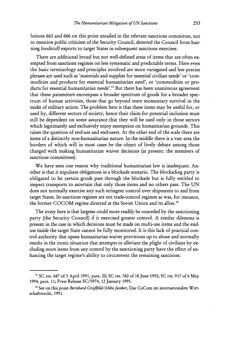lutions 661 and 666 on this point entailed in the relevant sanctions committee, not to mention public criticism of the Security Council, deterred the Council from banning foodstuff exports to target States in subsequent sanctions exercises.

There are additional broad but not well-defined areas of items that are often exempted from sanctions regimes on less systematic and predictable terms. Here even the basic terminology and principles involved are more variegated and less precise phrases are used such as 'materials and supplies for essential civilian needs' or 'commodities and products for essential humanitarian need', or 'commodities or products for essential humanitarian needs'.<sup>11</sup> But there has been unanimous agreement that these parameters encompass a broader spectrum of goods for a broader spectrum of human activities, those that go beyond mere momentary survival in the midst of military action. The problem here is that these items may be useful for, or used by, different sectors of society; hence their claim for potential inclusion must still be dependent on some assurance that they will be used only in those sectors which legitimately and exclusively enjoy exemption on humanitarian grounds. This raises the question of end-use and end-users. At the other end of the scale there are items of a distinctly non-humanitarian nature. In the middle there is a vast area the borders of which will in most cases be the object of lively debate among those charged with making humanitarian waiver decisions (at present: the members of sanctions committees).

We have seen one reason why traditional humanitarian law is inadequate. Another is that it stipulates obligations in a blockade scenario. The blockading party is obligated to let certain goods pass through the blockade but is fully entitled to inspect transports to ascertain that only those items and no others pass. The UN does not normally exercise any such stringent control over shipments to and from target States. Its sanctions regimes are not trade-control regimes as was, for instance, the former COCOM regime directed at the Soviet Union and its allies.<sup>12</sup>

The irony here is that largesse could more readily be conceded by the sanctioning party (the Security Council) if it exercised greater control. A similar dilemma is present in the case in which decisions must be made on multi-use items and the enduse inside the target State cannot be fully monitored. It is this lack of practical control authority that opens humanitarian waiver provisions up to abuse and normally results in the ironic situation that attempts to alleviate the plight of civilians by excluding more items from any control by the sanctioning party have the effect of enhancing the target regime's ability to circumvent the remaining sanctions.

**l1** SC res. 687 of **3** April 1991, para. 20; SC res. 760 of 18 June 1992; SC res. 917 of *6* May 1994, para. 11; Press Release SC/5974, 12 January 1995.

**l2** See on this point *Bernhard GroJfild/Abbo Junker,* Das CoCom im internationalen Wirtschaftsrecht, 1991.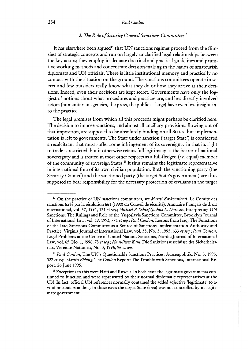#### 2. The Role of Security Council Sanctions Committees<sup>13</sup>

It has elsewhere been argued<sup>14</sup> that UN sanctions regimes proceed from the flimsiest of strategic concepts and run on largely unclarified legal relationships between the key actors; they employ inadequate doctrinal and practical guidelines and primitive working methods and concentrate decision-making in the hands of amateurish diplomats and UN officials. There is little institutional memory and practically no contact with the situation on the ground. The sanctions committees operate in secret and few outsiders really know what they do or how they arrive at their decisions. Indeed, even their decisions are kept secret. Governments have only the foggiest of notions about what procedures and practices are, and less directly involved actors (humanitarian agencies, the press, the public at large) have even less insight into the practice.

The legal premises from which all this proceeds might perhaps be clarified here. The decision to impose sanctions, and almost all ancillary provisions flowing out of that imposition, are supposed to be absolutely binding on all States, but implementation is left to governments. The State under sanction ('target State') is considered a recalcitrant that must suffer some infringement of its sovereignty in that its right to trade is restricted, but it otherwise retains full legitimacy as the bearer of national sovereignty and is treated in most other respects as a full-fledged (i.e. equal) member of the community of sovereign States.15 It thus remains the legitimate representative in international fora of its own civilian population. Both the sanctioning party (the Security Council) and the sanctioned party (the target State's government) are thus supposed to bear responsibility for the necessary protection of civilians in the target

**l3** On the practice of UN sanctions committees, see *Martti Koskenniemi,* Le Comitk des sanctions (créé par la résolution 661 (1990) du Conseil de sécurité), Annuaire Français de droit international, vol. 37, 1991, 121 *et seq.; Michael P. Schaf/Joshua L. Dorosin,* Interpreting UN Sanctions: The Rulings and Role of the Yugoslavia Sanctions Committee, Brooklyn Journal of International Law, vol. 19, 1993,771 *et seq.; Paul Conlon,* Lessons from Iraq: The Functions of the Iraq Sanctions Committee as a Source of Sanctions Implementation Authority and Practice, Virginia Journal of International Law, vol. 35, No. 3, 1995, 633 *et seq.; Paul Conlon*, Legal Problems at the Centre of United Nations Sanctions, Nordic Journal of International Law, vol. 65, No. 1, 1996,73 *et seq.; Hans-Peter Kaul,* Die Sanktionsausschiisse des Sicherheitsrats, Vereinte Nationen, No. 3, 1996,96 *et seq.* 

**l4** *Paul Conlon,* The UN's Questionable Sanctions Practices, Aussenpolitik, No. 3, 1995, 327 *et seq.; Martin Ebbing,* The *Conlon* Report: The Trouble with Sanctions, International Report, 26 June 1995.

**l5** Exceptions to this were Haiti and Kuwait. In both cases the legitimate governments continued to function and were represented by their normal diplomatic representatives at the UN. In fact, official UN references normally contained the added adjective 'legitimate' to avoid misunderstanding. In these cases the target State (area) was not controlled by its legitimate government.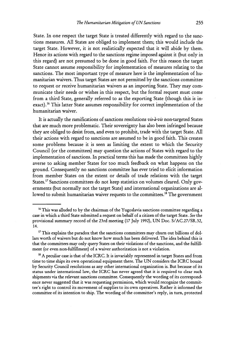State. In one respect the target State is treated differently with regard to the sanctions measures. All States are obliged to implement them; this would include the target State. However, it is not realistically expected that it will abide by them. Hence its actions with regard to the sanctions regime imposed against it (but only in this regard) are not presumed to be done in good faith. For this reason the target State cannot assume responsibility for implementation of measures relating to the sanctions. The most important type of measure here is the implementation of humanitarian waivers. Thus target States are not permitted by the sanctions committee to request or receive humanitarian waivers as an importing State. They may communicate their needs or wishes in this respect, but the formal request must come from a third State, generally referred to as the exporting State (though this is inexact).<sup>16</sup> This latter State assumes responsibility for correct implementation of the humanitarian waiver.

It is actually the ramifications of sanctions resolutions *vis-bvis* non-targeted States that are much more problematic. Their sovereignty has also been infringed because they are obliged to desist from, and even to prohibit, trade with the target State. All their actions with regard to sanctions are assumed to be in good faith. This creates some problems because it is seen as limiting the extent to which the Security Council (or the committees) may question the actions of States with regard to the implementation of sanctions. In practical terms this has made the committees highly averse to asking member States for too much feedback on what happens on the ground. Consequently no sanctions committee has ever tried to elicit information from member States on the extent or details of trade relations with the target States." Sanctions committees do not keep statistics on volumes cleared. Only governments (but normally not the target State) and international organizations are allowed to submit humanitarian waiver requests to the committees.<sup>18</sup> The government

<sup>&</sup>lt;sup>16</sup> This was alluded to by the chairman of the Yugoslavia sanctions committee regarding a case in which a third State submitted a request on behalf of a citizen of the target State. *See* the provisional summary record of the 23rd meeting (17 July 1992), UN Doc. S/AC.27/SR.32, **14.** 

<sup>&</sup>lt;sup>17</sup> This explains the paradox that the sanctions committees may churn out billions of dollars worth of waivers but do not know how much has been delivered. The idea behind this is that the committees may only query States on their violations of the sanctions, and the fulfillment (or even non-fulfillment) of a waiver authorization is not a violation.

<sup>&</sup>lt;sup>18</sup> A peculiar case is that of the ICRC. It is invariably represented in target States and from time to time ships its own operational equipment there. The UN considers the ICRC bound by Security Council resolutions as any other international organization is. But because of its status under international law, the ICRC has never agreed that it is required to clear such shipments via the relevant sanctions committee. Consequently the wording of its correspondence never suggested that it was requesting permission, which would recognize the committee's right to control its movement of supplies to its own operatives. Rather it informed the committee of its intention to ship. The wording of the committee's reply, in turn, protected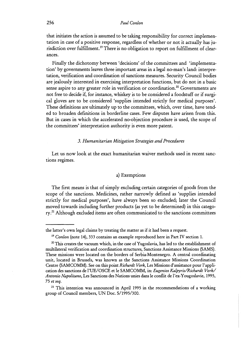that initiates the action is assumed to be taking responsibility for correct implementation in case of a positive response, regardless of whether or not it actually has jurisdiction over fulfillment.<sup>19</sup> There is no obligation to report on fulfillment of clearances.

Finally the dichotomy between 'decisions' of the committees and 'implementation' by governments leaves three important areas in a legal no-man's land: interpretation, verification and coordination of sanctions measures. Security Council bodies are jealously interested in exercising interpretation functions, but do not in a basic sense aspire to any greater role in verification or coordination.<sup>20</sup> Governments are not free to decide if, for instance, whiskey is to be considered a foodstuff or if surgical gloves are to be considered 'supplies intended strictly for medical purposes'. These definitions are ultimately up to the committees, which, over time, have tended to broaden definitions in borderline cases. Few disputes have arisen from this. But in cases in which the accelerated no-objection procedure is used, the scope of the committees' interpretation authority is even more patent.

#### *3. Humanitavian Mitigation Strategies and Pvoceduves*

Let us now look at the exact humanitarian waiver methods used in recent sanctions regimes.

#### a) Exemptions

The first means is that of simply excluding certain categories of goods from the scope of the sanctions. Medicines, rather narrowly defined as 'supplies intended strictly for medical purposes', have always been so excluded; later the Council moved towards including further products (as yet to be determined) in this category.<sup>21</sup> Although excluded items are often communicated to the sanctions committees

the latter's own legal claims by treating the matter as if it had been a request.

**l9** *Conlon* (note 14), 333 contains an example reproduced here in Part IV section 1.

<sup>&</sup>lt;sup>20</sup> This creates the vacuum which, in the case of Yugoslavia, has led to the establishment of multilateral verification and coordination structures, Sanctions Assistance Missions (SAMS). These missions were located on the borders of Serbia-Montenegro. A central coordinating unit, located in Brussels, was known as the Sanctions Assistance Missions Coordination Centre (SAMCOMM). See on this point *Richardt Vork*, Les Missions d'assistance pour l'application des sanctions de l'UE/OSCE et le SAMCOMM, in: *Eugenios Kalpyris/Richardt Vork/ Antonio Napolitano,* Les Sanctions des Nations unies dans le conflit de l'ex-Yougoslavie, 1995, 75 *et seq.* 

<sup>&</sup>lt;sup>21</sup> This intention was announced in April 1995 in the recommendations of a working group of Council members, UN Doc. S/1995/300.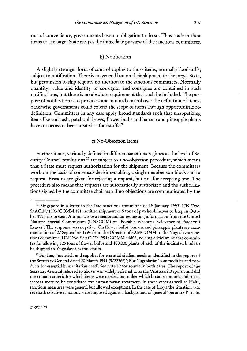out of convenience, governments have no obligation to do so. Thus trade in these items to the target State escapes the immediate purview of the sanctions committees.

#### b) Notification

A slightly stronger form of control applies to those items, normally foodstuffs, subject to notification. There is no general ban on their shipment to the target State, but permission to ship requires notification to the sanctions committees. Normally quantity, value and identity of consignor and consignee are contained in such notifications, but there is no absolute requirement that such be included. The purpose of notification is to provide some minimal control over the definition of items; otherwise governments could extend the scope of items through opportunistic redefinition. Committees in any case apply broad standards such that unappetizing items like soda ash, patchouli leaves, flower bulbs and banana and pineapple plants have on occasion been treated as foodstuffs. $22$ 

#### c) No-Objection Items

Further items, variously defined in different sanctions regimes at the level of Security Council resolutions, $^{23}$  are subject to a no-objection procedure, which means that a State must request authorization for the shipment. Because the committees work on the basis of consensus decision-making, a single member can block such a request. Reasons are given for rejecting a request, but not for accepting one. The procedure also means that requests are automatically authorized and the authorizations signed by the committee chairman if no objections are communicated by the

 $22$  Singapore in a letter to the Iraq sanctions committee of 19 January 1993, UN Doc. S/AC.25/1993/COMM.181, notified shipment of 5 tons of patchouli leaves to Iraq; in October 1993 the present Author wrote a memorandum requesting information from the United Nations Special Commission (UNSCOM) on 'Possible Weapons Relevance of Patchouli Leaves'. The response was negative. On flower bulbs, banana and pineapple plants see communication of 27 September 1994 from the Director of SAMCOMM to the Yugoslavia sanctions committee, UN Doc. **S/AC.27/1994/COMM.44808,** voicing criticism of that committee for allowing 125 tons of flower bulbs and 100,000 plants of each of the indicated kinds to be shipped to Yugoslavia as foodstuffs.

 $23$  For Iraq: 'materials and supplies for essential civilian needs as identified in the report of the Secretary-General dated 20 March 1991 (S/22366)'; For Yugoslavia: 'commodities and products for essential humanitarian need'. See note 12 for source in both cases. The report of the Secretary-General referred to above was widely referred to as the 'Ahtisaari Report', **and** did not contain criteria for which items were needed, but rather which broad economic and social sectors were to be considered for humanitarian treatment. In these cases as well as Haiti, sanctions measures were general but allowed exceptions. In the case of Libya the situation was reversed: selective sanctions were imposed against a background of general 'permitted' trade.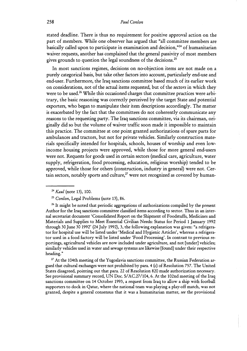stated deadline. There is thus no requirement for positive approval action on the part of members. While one observer has argued that "all committee members are basically called upon to participate in examination and decision," $24$  of humanitarian waiver requests, another has complained that the general passivity of most members gives grounds to question the legal soundness of the decisions.<sup>25</sup>

In most sanctions regimes, decisions on no-objection items are not made on a purely categorical basis, but take other factors into account, particularly end-use and end-user. Furthermore, the Iraq sanctions committee based much of its earlier work on considerations, not of the actual items requested, but of the *sectors* in which they were to be used.<sup>26</sup> While this occasioned charges that committee practices were arbitrary, the basic reasoning was correctly perceived by the target State and potential exporters, who began to manipulate their item descriptions accordingly. The matter is exacerbated by the fact that the committees do not coherently communicate any reasons to the requesting party. The Iraq sanctions committee, via its chairman, originally did so but the volume of waiver traffic soon made it impossible to maintain this practice. The committee at one point granted authorizations of spare parts for ambulances and tractors, but not for private vehicles. Similarly construction materials specifically intended for hospitals, schools, houses of worship and even lowincome housing projects were approved, while those for more general end-users were not. Requests for goods used in certain sectors (medical care, agriculture, water supply, refrigeration, food processing, education, religious worship) tended to be approved, while those for others (construction, industry in general) were not. Certain sectors, notably sports and culture,<sup>27</sup> were not recognized as covered by human-

<sup>27</sup> At the 104th meeting of the Yugoslavia sanctions committee, the Russian Federation argued that cultural exchanges were not prolubited by para. 4 (c) of Resolution 757. The United States disagreed, pointing out that para. 22 of Resolution 820 made authorization necessary. See provisional summary record, UN Doc. S/AC.27/104,6. At the 102nd meeting of the Iraq sanctions committee on 14 October 1993, a request from Iraq to allow a ship with football supporters to dock in Qatar, where the national team was playing a play-off match, was not granted, despite a general consensus that it was a humanitarian matter, see the provisional

<sup>24</sup>*Kaul* (note 13), 100.

**<sup>25</sup>***Conlon,* Legal Problems (note 13), 86.

<sup>&</sup>lt;sup>26</sup> It might be noted that periodic aggregations of authorizations compiled by the present Author for the Iraq sanctions committee classified items according to sector. Thus in an internal secretariat document 'Consolidated Report on the Slupment of Foodstuffs, Medicines and Materials and Supplies to Meet Essential Civilian Needs: Status for Period 1 January 1992 through 30 June 30 1992' (24 July 1992), 3, the following explanation was given: "a refrigerator for hospital use will be listed under 'Medical and Hygienic Articles', whereas a refrigerator used in a food factory will be listed under 'Food Processing'. In contrast to previous reportings, agricultural vehicles are now included under agriculture, and not [under] vehicles; similarly vehicles used in water and sewage systems are likewise [found] under their respective heading."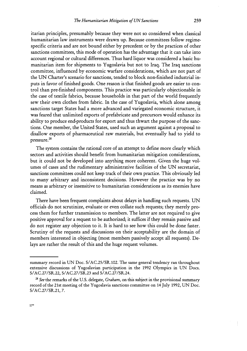itarian principles, presumably because they were not so considered when classical humanitarian law instruments were drawn up. Because committees follow regimespecific criteria and are not bound either by precedent or by the practices of other sanctions committees, this mode of operation has the advantage that it can take into account regional or cultural differences. Thus hard liquor was considered a basic humanitarian item for shipments to Yugoslavia but not to Iraq. The Iraq sanctions committee, influenced by economic warfare considerations, which are not part of the UN Charter's scenario for sanctions, tended to block non-finished industrial inputs in favor of finished goods. One reason is that finished goods are easier to control than pre-finished components. This practice was particularly objectionable in the case of textile fabrics, because households in that part of the world frequently sew their own clothes from fabric. In the case of Yugoslavia, which alone among sanctions target States had a more advanced and variegated economic structure, it was feared that unlimited exports of prefabricate and precursors would enhance its ability to produce end-products for export and thus thwart the purpose of the sanctions. One member, the United States, used such an argument against a proposal to disallow exports of pharmaceutical raw materials, but eventually had to yield to pressure.<sup>28</sup>

The system contains the rational core of an attempt to define more clearly which sectors and activities should benefit from humanitarian mitigation considerations, but it could not be developed into anything more coherent. Given the huge volumes of cases and the rudimentary administrative facilities of the UN secretariat, sanctions committees could not keep track of their own practice. This obviously led to many arbitrary and inconsistent decisions. However the practice was by no means as arbitrary or insensitive to humanitarian considerations as its enemies have claimed.

There have been frequent complaints about delays in handling such requests. UN officials do not scrutinize, evaluate or even collate such requests; they merely process them for further transmission to members. The latter are not required to give positive approval for a request to be authorized; it suffices if they remain passive and do not register any objection to it. It is hard to see how this could be done faster. Scrutiny of the requests and discussions on their acceptability are the domain of members interested in objecting (most members passively accept all requests). Delays are rather the result of this and the huge request volumes.

summary record in UN Doc. S/AC.25/SR.102. The same general tendency ran throughout extensive discussions of Yugoslavian participation in the 1992 Olympics in UN Docs. S/AC.27/SR.22, S/AC.27/SR.23 and S/AC.27/SR.24.

**<sup>28</sup>***See* the remarks of the U.S. delegate, *Graham,* on this subject in the provisional summary record of the 21st meeting of the Yugoslavia sanctions committee on 14 July 1992, UN Doc. S/AC.27/SR.21, 7.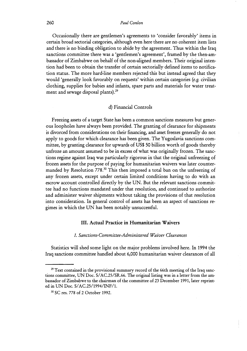Occasionally there are gentlemen's agreements to 'consider favorably' items in certain broad sectorial categories, although even here there are no coherent item lists and there is no binding obligation to abide by the agreement. Thus within the Iraq sanctions committee there was a 'gentlemen's agreement', framed by the then-ambassador of Zimbabwe on behalf of the non-aligned members. Their original intention had been to obtain the transfer of certain sectorially defined items to notification status. The more hard-line members rejected this but instead agreed that they would 'generally look favorably on requests' within certain categories *(e.g.* civilian clothing, supplies for babies and infants, spare parts and materials for water treatment and sewage disposal plants).<sup>29</sup>

#### d) Financial Controls

Freezing assets of a target State has been a common sanctions measures but generous loopholes have always been provided. The granting of clearance for shipments is divorced from considerations on their financing, and asset freezes generally do not apply to goods for which clearance has been given. The Yugoslavia sanctions committee, by granting clearance for upwards of US\$50 billion worth of goods thereby unfroze an amount assumed to be in excess of what was originally frozen. The sanctions regime against Iraq was particularly rigorous in that the original unfreezing of frozen assets for the purpose of paying for humanitarian waivers was later countermanded by Resolution 778.<sup>30</sup> This then imposed a total ban on the unfreezing of any frozen assets, except under certain limited conditions having to do with an escrow account controlled directly by the UN. But the relevant sanctions committee had no functions mandated under that resolution, and continued to authorize and administer waiver shipments without taking the provisions of that resolution into consideration. In general control of assets has been an aspect of sanctions regimes in which the UN has been notably unsuccessful.

#### **111. Actual Practice in Humanitarian Waivers**

#### *I. Sanctions-Committee-Administered Waiver Clearances*

Statistics will shed some light on the major problems involved here. In 1994 the Iraq sanctions committee handled about 6,000 humanitarian waiver clearances of all

<sup>&</sup>lt;sup>29</sup> Text contained in the provisional summary record of the 66th meeting of the Iraq sanctions committee, UN Doc. S/AC.25/SR.66. The original listing was in a letter from the ambassador of Zimbabwe to the chairman of the committee of 23 December 1991, later reprinted in UN Doc. S/AC.25/1994/INF/l.

**<sup>&#</sup>x27;O** SC res. 778 of 2 October 1992.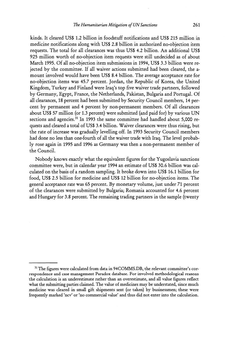kinds. It cleared US\$ 1.2 billion in foodstuff notifications and US\$ 215 million in medicine notifications along with US\$ 2.8 billion in authorized no-objection item requests. The total for all clearances was thus US\$ 4.2 billion. An additional US\$ 925 million worth of no-objection item requests were still undecided as of about March 1995. Of all no-objection item submissions in 1994, US\$ 3.3 billion were rejected by the committee. If all waiver actions submitted had been cleared, the amount involved would have been US\$ 8.4 billion. The average acceptance rate for no-objection items was 45.7 percent. Jordan, the Republic of Korea, the United Kingdom, Turkey and Finland were Iraq's top five waiver trade partners, followed by Germany, Egypt, France, the Netherlands, Pakistan, Bulgaria and Portugal. Of all clearances, 18 percent had been submitted by Security Council members, 14 percent by permanent and 4 percent by non-permanent members. Of all clearances about US\$57 million (or 1.3 percent) were submitted (and paid for) by various UN sections and agencies.<sup>31</sup> In 1993 the same committee had handled about 5,000 requests and cleared a total of US\$3.4 billion. Waiver clearances were thus rising, but the rate of increase was gradually levelling off. In 1993 Security Council members had done no less than one-fourth of all the waiver trade with Iraq. The level probably rose again in 1995 and 1996 as Germany was then a non-permanent member of the Council.

Nobody knows exactly what the equivalent figures for the Yugoslavia sanctions committee were, but in calendar year 1994 an estimate of US\$30.6 billion was calculated on the basis of a random sampling. It broke down into US\$ 16.1 billion for food, US\$ 2.5 billion for medicine and US\$ 12 billion for no-objection items. The general acceptance rate was 65 percent. By monetary volume, just under 71 percent of the clearances were submitted by Bulgaria; Romania accounted for 4.6 percent and Hungary for 3.8 percent. The remaining trading partners in the sample (twenty

<sup>&</sup>lt;sup>31</sup> The figures were calculated from data in 94COMMS.DB, the relevant committee's correspondence and case management Paradox database. For involved methodological reasons the calculation is an underestimate rather than an overestimate, and all value figures reflect what the submitting parties claimed. The value of medicines may be understated, since much medicine was cleared in small gift shipments sent (or taken) by businessmen; these were frequently marked 'ncv' or 'no commercial value' and thus did not enter into the calculation.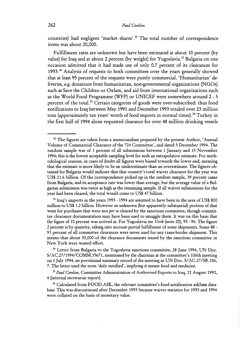countries) had negligent 'market shares'.32 The total number of correspondence items was about 20,000.

Fulfillment rates are unknown but have been estimated at about 10 percent (by value) for Iraq and at about 2 percent (by weight) for Yugoslavia.<sup>33</sup> Bulgaria on one occasion admitted that it had made use of only 0.7 percent of its clearances for 1993.34 Analysis of requests to both committees over the years generally showed that at least 95 percent of the requests were purely commercial. 'Humanitarian' deliveries, *e.g.* donations from humanitarian, non-governmental organizations (NGOs) such as Save the Children or Oxfam, and aid from international organizations such as the World Food Programme (WFP) or UNICEF were somewhere around **2** - 5 percent of the total.<sup>35</sup> Certain categories of goods were over-subscribed: thus food notifications to Iraq between May 1991 and December 1993 totaled over 23 million tons (approximately ten years' worth of food imports in normal times).<sup>36</sup> Turkey in the first half of 1994 alone requested clearance for over 48 million drinking vessels

<sup>&</sup>lt;sup>32</sup> The figures are taken from a memorandum prepared by the present Author, 'Annual Volume of Commercial Clearance of the 724 Committee', and dated **5** December 1994. The random sample was of 1 percent of all submissions between 1 January and 15 November 1994; this is the lowest acceptable sampling level for such an extrapolative estimate. For methodological reasons, in cases of doubt all figures were biased towards the lower end, meaning that the estimate is more likely to be an underestimate than an overestimate. The figures obtained for Bulgaria would indicate that that country's total waiver clearance for the year was US\$ 21.6 billion. Of the correspondence picked up in the random sample, 39 percent came from Bulgaria, and its acceptance rate was lower than average, but the average value of a Bulgarian submission was twice as high as the remaining sample. If all waiver submissions for the year had been cleared, the total would come to US\$47 billion.

 $\rm{^{33}}$  Iraq's imports in the years 1993 - 1994 are assumed to have been in the area of US\$ 800 million to US\$ 1.2 billion. However an unknown (but apparently substantial) portion of that went for purchases that were not *per se* cleared by the sanctions committee, though committee clearance documentation may have been used to smuggle them. It was on this basis that the figure of 10 percent was arrived at. For Yugoslavia see *Vork* (note 20), 95 - 96. The figure 2 percent is by quantity, taking into account partial fulfillment of some shipments. Some 88 - 9 1 percent of all committee clearances were never used for any trans-border shipment. This means that about 30,000 of the clearance documents issued by the sanctions committee in New York were wasted effort.

**l4** Letter from Bulgaria to the Yugoslavia sanctions committee, 28 June 1994, UN Doc. S/AC.27/1994/COMM.35671, mentioned by the chairman at the committee's 106th meeting on 1 July 1994, see provisional summary record of the meeting in UN Doc. S/AC.27/SR. 106, 7. The letter used the term 'duly notified', implying it meant food and medicine.

**l5** *Paul Conlon,* Committee Administration of Authorised Exports to Iraq, 21 August 1992, 4 (internal secretariat report).

 $^{36}$  Calculated from FOOD.ASK, the relevant committee's food notification askSam database. This was discontinued after December 1993 because waiver statistics for 1993 and 1994 were collated on the basis of monetary value.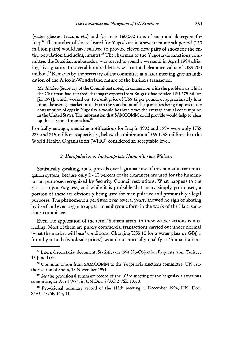(water glasses, teacups etc.) and for over 160,000 tons of soap and detergent for Iraq.37 The number of shoes cleared for Yugoslavia in a seventeen-month period (120 million pairs) would have sufficed to provide eleven new pairs of shoes for the entire population (including infants).<sup>38</sup> The chairman of the Yugoslavia sanctions committee, the Brazilian ambassador, was forced to spend a weekend in April 1994 affixing his signature to several hundred letters with a total clearance value of US\$ 700 million.<sup>39</sup> Remarks by the secretary of the committee at a later meeting give an indication of the Alice-in-Wonderland nature of the business transacted.

Mr. *Ilitchev* (Secretary of the Committee) noted, in connection with the problem to which the Chairman had referred, that sugar exports from Bulgaria had totaled US\$379 billion [in 19911, which worked out to a unit price of US\$12 per pound, or approximately four times the average market price. From the standpoint of the quantities being imported, the consumption of eggs in Yugoslavia would be three times the average annual consumption in the United States. The information that SAMCOMM could provide would help to clear up those types of anomalies.40

Ironically enough, medicine notifications for Iraq in 1993 and 1994 were only US\$ 223 and 215 million respectively, below the minimum of 365 US\$ million that the World Health Organisation (WHO) considered an acceptable level.

#### 2. Manipulative or Inappropriate Humanitarian Waivers

Statistically speaking, abuse prevails over legitimate use of this humanitarian mitigation system, because only 2 - 10 percent of the clearances are used for the humanitarian purposes recognized by Security Council resolutions. What happens to the rest is anyone's guess, and while it is probable that many simply go unused, a portion of these are obviously being used for manipulative and presumably illegal purposes. The phenomenon persisted over several years, showed no sign of abating by itself and even began to appear in embryonic form in the work of the Haiti sanctions committee.

Even the application of the term 'humanitarian' to these waiver actions is misleading. Most of them are purely commercial transactions carried out under normal 'what the market will bear' conditions. Charging US\$ 10 for a water glass or GBf 1 for a light bulb (wholesale prices!) would not normally qualify as 'humanitarian'.

**<sup>37</sup>**Internal secretariat document, Statistics on 1994 No-Objection Requests from Turkey, 13 June 1994.

<sup>&</sup>lt;sup>38</sup> Communication from SAMCOMM to the Yugoslavia sanctions committee, UN Authorization of Shoes, 18 November 1994.

*<sup>39</sup>See* the provisional summary record of the 103rd meeting of the Yugoslavia sanctions committee, 29 April 1994, in UN Doc. S/AC.27/SR.103,3.

<sup>40</sup> Provisional summary record of the 113th meeting, 1 December 1994, UN. Doc. S/AC.27/SR. 113, 11.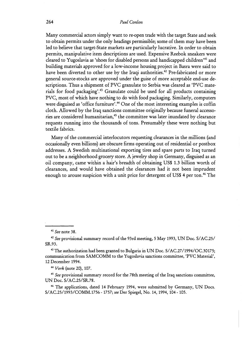Many commercial actors simply want to re-open trade with the target State and seek to obtain permits under the only headings permissible; some of them may have been led to believe that target-State markets are particularly lucrative. In order to obtain permits, manipulative item descriptions are used. Expensive Reebok sneakers were cleared to Yugoslavia as 'shoes for disabled persons and handicapped children'<sup>41</sup> and building materials approved for a low-income housing project in Basra were said to have been diverted to other use by the Iraqi authorities.<sup>42</sup> Pre-fabricated or more general source-stocks are approved under the guise of more acceptable end-use descriptions. Thus a shipment of PVC granulate to Serbia was cleared as 'PVC materials for food packaging'.43 Granulate could be used for all products containing PVC, most of which have nothing to do with food packaging. Similarly, computers were disguised as 'office furniture'.<sup>44</sup> One of the most interesting examples is coffin cloth. Allowed by the Iraq sanctions committee originally because funeral accessories are considered humanitarian,<sup>45</sup> the committee was later inundated by clearance requests running into the thousands of tons. Presumably these were nothing but textile fabrics.

Many of the commercial interlocutors requesting clearances in the millions (and occasionally even billions) are obscure firms operating out of residential or postbox addresses. **A** Swedish multinational exporting tires and spare parts to Iraq turned out to be a neighborhood grocery store. A jewelry shop in Germany, disguised as an oil company, came within a hair's breadth of obtaining US\$ 1.3 billion worth of clearances, and would have obtained the clearances had it not been imprudent enough to arouse suspicion with a unit price for detergent of US\$ 4 per ton.<sup>46</sup> The

**<sup>41</sup>***See* note 38.

**<sup>&</sup>quot;** *See* provisional summary record of the 93rd meeting, 5 May 1993, UN Doc. S/AC.25/ SR.93.

**<sup>&</sup>quot;** The authorization had been granted to Bulgaria in UN Doc. S/AC.27/1994/OC.30175; communication from SAMCOMM to the Yugoslavia sanctions committee, 'PVC Material', 12 December 1994.

**<sup>44</sup>***Vork* (note 20), 107.

**<sup>45</sup>***See* provisional summary record for the 78th meeting of the Iraq sanctions committee, UN Doc. S/AC.25/SR.78.

**<sup>46</sup>**The applications, dated 14 February 1994, were submitted by Germany, UN Docs. S/AC.25/1993/COMM.1756 - 1757; *see* Der Spiegel, No. 14, 1994, 104 - 105.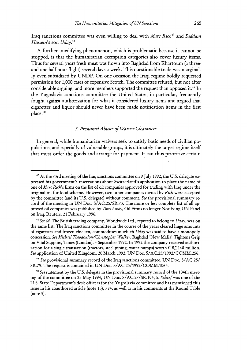Iraq sanctions committee was even willing to deal with Marc Rich<sup>47</sup> and Saddam Hussein's son Uday.<sup>48</sup>

A further unedifying phenomenon, which is problematic because it cannot be stopped, is that the humanitarian exemption categories also cover luxury items. Thus for several years fresh meat was flown into Baghdad from Khartoum (a threeand-one-half-hour flight) several days a week. This questionable trade was marginally even subsidized by UNDP. On one occasion the Iraqi regime boldly requested permission for 1,000 cases of expensive Scotch. The committee refused, but not after considerable arguing, and more members supported the request than opposed it.<sup>49</sup> In the Yugoslavia sanctions committee the United States, in particular, frequently fought against authorization for what it considered luxury items and argued that cigarettes and liquor should never have been made notification items in the first place.<sup>50</sup>

#### **3.** Presumed Abuses of Waiver Clearances

In general, while humanitarian waivers seek to satisfy basic needs of civilian populations, and especially of vulnerable groups, it is ultimately the target regime itself that must order the goods and arrange for payment. It can thus prioritize certain

**<sup>48</sup>**See id. The British trading company, Worldwide Ltd., reputed to belong to *Uday,* was on the same list. The Iraq sanctions committee in the course of the years cleared huge amounts of cigarettes and frozen chicken, commodities in which *Uday* was said to have a monopoly concession. See Michael Theodoulou/Christopher Walker, Baghdad 'New Mafia' Tightens Grip on Vital Supplies, Times (London), 4 September 1992. In 1992 the company received authorization for a single transaction (tractors, steel piping, water pumps) worth GBf. 148 million. See application of United Kingdom, 20 March 1992, UN Doc. S/AC.25/1992/COMM.256.

**<sup>49</sup>**See provisional summary record of the Iraq sanctions committee, UN Doc. S/AC.25/ SR.79. The request is contained in UN Doc. S/AC.25/1992/COMM.1065.

**50** See statement by the U.S. delegate in the provisional summary record of the 104th meeting of the committee on 25 May 1994, UN Doc. S/AC.27/SR.104, 5. Scharf was one of the U.S. State Department's desk officers for the Yugoslavia committee and has mentioned this issue in his coauthored article (note 13), 784, as well as in his comments at the Round Table (note 5).

**<sup>47</sup>** At the 73rd meeting of the Iraq sanctions committee on 9 July 1992, the U.S. delegate expressed his government's reservations about Switzerland's application to place the name of one of Marc Rich's firms on the list of oil companies approved for trading with Iraq under the original oil-for-food scheme. However, two other companies owned by Rich were accepted by the committee (and its U.S. delegate) without comment. See the provisional summary record of the meeting in UN Doc. S/AC.25/SR.73. The more or less complete list of all approved oil companies was published by Tom Ashby, Oil Firms no longer Notifying UN Panel on Iraq, Reuters, 21 February 1996.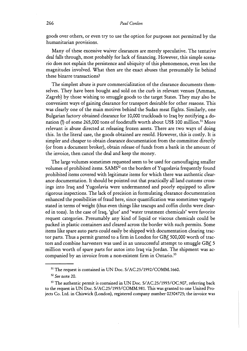goods over others, or even try to use the option for purposes not permitted by the humanitarian provisions.

Many of these excessive waiver clearances are merely speculative. The tentative deal falls through, most probably for lack of financing. However, this simple scenario does not explain the persistence and ubiquity of this phenomenon, even less the magnitudes involved. What then are the exact abuses that presumably lie behind these bizarre transactions?

The simplest abuse is pure commercialization of the clearance documents themselves. They have been bought and sold on the curb in relevant venues (Amman, Zagreb) by those wishing to smuggle goods to the target States. They may also be convenient ways of gaining clearance for transport desirable for other reasons. This was clearly one of the main motives behind the Sudan meat flights. Similarly, one Bulgarian factory obtained clearance for 10,000 truckloads to Iraq by notifying a donation (!) of some 265,000 tons of foodstuffs worth about US\$ 100 million.<sup>51</sup> More relevant is abuse directed at releasing frozen assets. There are two ways of doing this. In the literal case, the goods obtained are resold. However, this is costly. It is simpler and cheaper to obtain clearance documentation from the committee directly (or from a document broker), obtain release of funds from a bank in the amount of the invoice, then cancel the deal and keep the money.

The large volumes sometimes requested seem to be used for camouflaging smaller volumes of prohibited items. SAMS<sup>52</sup> on the borders of Yugoslavia frequently found prohibited items covered with legitimate items for which there was authentic clearance documentation. It should be pointed out that practically all land customs crossings into Iraq and Yugoslavia were undermanned and poorly equipped to allow rigorous inspections. The lack of precision in formulating clearance documentation enhanced the possibilities of fraud here, since quantification was sometimes vaguely stated in terms of weight (thus even things like teacups and coffin cloths were cleared in tons). In the case of Iraq, 'glue' and 'water treatment chemicals' were favorite request categories. Presumably any kind of liquid or viscous chemicals could be packed in plastic containers and cleared across the border with such permits. Some items like spare auto parts could easily be shipped with documentation clearing tractor parts. Thus a permit granted to a firm in London for GBf, 500,000 worth of tractors and combine harvesters was used in an unsuccessful attempt to smuggle GBf. 5  $\,$ million worth of spare parts for autos into Iraq via Jordan. The shipment was accompanied by an invoice from a non-existent firm in Ontario. $53$ 

**<sup>51</sup>**The request is contained in UN Doc. S/AC.25/1992/COMM.1660.

**<sup>52</sup>**See note 20.

**<sup>53</sup>**The authentic permit is contained in UN Doc. S/AC.25/1993/OC.907, referring back to the request in UN Doc. S/AC.25/1993/COMM.981. This was granted to one United Projects Co. Ltd. in Chiswick (London), registered company number 02304725; the invoice was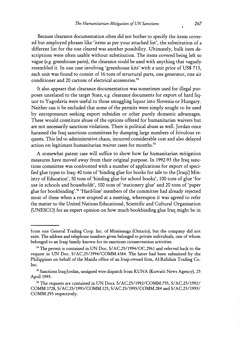Because clearance documentation often did not bother to specify the items covered but employed phrases like 'items as per your attached list', the substitution of a different list for the one cleared was another possibility. Ultimately, bulk item descriptions were often usable without substitution. The items covered being left so vague (e.g. greenhouse parts), the clearance could be used with anything that vaguely resembled it. In one case involving 'greenhouse kits' with a unit price of US\$ 713, each unit was found to consist of 16 tons of structural parts, one generator, one air conditioner and 20 cartons of electrical accessories.<sup>54</sup>

It also appears that clearance documentation was sometimes used for illegal purposes unrelated to the target State, e.g. clearance documents for export of hard liquor to Yugoslavia were useful to those smuggling liquor into Slovenia or Hungary. Neither can it be excluded that some of the permits were simply sought to be used by entrepreneurs seeking export subsidies or other purely domestic advantages. These would constitute abuse of the options offered for humanitarian waivers but are not necessarily sanctions violations. There is political abuse as well. Jordan once harassed the Iraq sanctions committees by dumping large numbers of frivolous requests. This led to administrative chaos, incurred considerable cost and also delayed action on legitimate humanitarian waiver cases for months.<sup>55</sup>

A somewhat patent case will suffice to show how far humanitarian mitigation measures have moved away from their original purpose. In 1992-93 the Iraq sanctions committee was confronted with a number of applications for export of specified glue types to Iraq: 40 tons of 'binding glue for books for sale to the [Iraqi] Ministry of Education', 50 tons of 'binding glue for school books', 100 tons of glue 'for use in schools and households', 100 tons of 'stationery glue' and 20 tons of 'paper glue for bookbinding'.<sup>56</sup> 'Hard-line' members of the committee had already rejected most of these when a row erupted at a meeting, whereupon it was agreed to refer the matter to the United Nations Educational, Scientific and Cultural Organisation (UNESCO) for an expert opinion on how much bookbinding glue Iraq might be in

from one General Trading Corp. Inc. of Mississauga (Ontario), but the company did not exist. The address and telephone numbers given belonged to private individuals, one of whom belonged to an Iraqi family known for its sanctions circumvention activities.

**<sup>54</sup>**The permit is contained in UN Doc. S/AC.25/1994/OC.2961 and referred back to the request in UN Doc. S/AC.25/1994/COMM.4384. The latter had been submitted by the Philippines on behalf of the Manila office of an Iraqi-owned firm, Al-Rafidain Trading Co. Inc.

**<sup>55</sup>**Sanctions Iraq-Jordan, unsigned wire dispatch from KUNA (Kuwaiti News Agency), 25 April 1995.

**<sup>56</sup>**The requests are contained in UN Docs. S/AC.25/1992/COMM.755, S/AC.25/1992/ COMM.1728, S/AC.25/1993/COMM.123, S/AC.25/1993/COMM.284 and S/AC.25/1993/ COMM.295 respectively.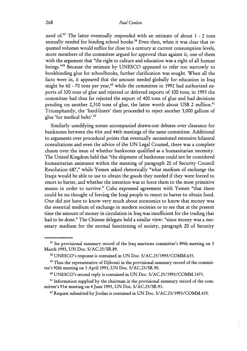need of.57 The latter eventually responded with an estimate of about 1 - 2 tons annually needed for binding school books.<sup>58</sup> Even then, when it was clear that requested volumes would suffice for close to a century at current consumption levels, more members of the committee argued for approval than against it, one of them with the argument that "the right to culture and education was a right of all human beings."59 Because the estimate by UNESCO appeared to refer too narrowly to bookbinding glue for schoolbooks, further clarification was sought. When all the facts were in, it appeared that the amount needed globally for education in Iraq might be 60 - 70 tons per year,<sup>60</sup> while the committee in 1992 had authorized exports of 320 tons of glue and rejected or deferred exports of 100 tons; in 1993 the committee had thus far rejected the export of 400 tons of glue and had decisions pending on another 2,310 tons of glue, the latter worth about US\$ 2 million.<sup>61</sup> Triumphantly, the 'hard-liners' then proceeded to reject another 3,000 gallons of glue 'for medical belts'.62

Similarly unedifying scenes accompanied drawn-out debates over clearance for banknotes between the 41st and 44th meetings of the same committee. Additional to arguments over procedural points that eventually necessitated extensive bilateral consultations and even the advice of the UN Legal Counsel, there was a complete chasm over the issue of whether banknotes qualified as a humanitarian necessity. The United Kingdom held that "the shipment of banknotes could not be considered humanitarian assistance within the meaning of paragraph 20 of Security Council Resolution 687," while Yemen asked rhetorically "what medium of exchange the Iraqis would be able to use to obtain the goods they needed if they were forced to resort to barter, and whether the intention was to force them to the most primitive means in order to survive." Cuba expressed agreement with Yemen "that there could be no thought of forcing the Iraqi people to resort to barter to obtain food. One did not have to know very much about economics to know that money was the essential medium of exchange in modern societies or to see that at the present time the amount of money in circulation in Iraq was insufficient for the trading that had to be done." The Chinese delegate held a similar view: "since money was a necessary medium for the normal functioning of society, paragraph 20 of Security

**<sup>57</sup>**See provisional summary record of the Iraq sanctions committee's 89th meeting on 5 March 1993, UN Doc. S/AC.25/SR.89.

UNESCO's response is contained in UN Doc. S/AC.25/1993/COMM.635.

<sup>&</sup>lt;sup>59</sup> Thus the representative of Djibouti in the provisional summary record of the committee's 90th meeting on 5 April 1993, UN Doc. S/AC.25/SR.90.

*<sup>60</sup>*UNESCO's second reply is contained in UN Doc. S/AC.25/1993/COMM.1471.

<sup>&</sup>lt;sup>61</sup> Information supplied by the chairman in the provisional summary record of the committee's 91st meeting on 4 June 1993, UN Doc. S/AC.25/SR.91.

*<sup>62</sup>* Request submitted by Jordan is contained in UN Doc. S/AC.25/1993/COMM.455.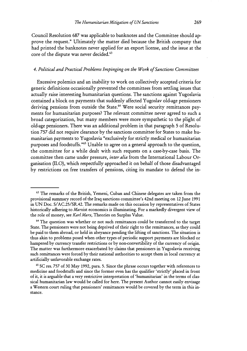Council Resolution *687* was applicable to banknotes and the Committee should approve the request." Ultimately the matter died because the British company that had printed the banknotes never applied for an export license, and the issue at the core of the dispute was never decided.<sup>63</sup>

#### *4. Political and Practical Problems Impinging on the Work of Sanctions Committees*

Excessive polemics and an inability to work on collectively accepted criteria for generic definitions occasionally prevented the committees from settling issues that actually raise interesting humanitarian questions. The sanctions against Yugoslavia contained a block on payments that suddenly affected Yugoslav old-age pensioners deriving pensions from outside the State.<sup>64</sup> Were social security remittances payments for humanitarian purposes? The relevant committee never agreed to such a broad categorization, but many members were more sympathetic to the plight of old-age pensioners. There was an additional problem in that paragraph 5 of Resolution *757* did not require clearance by the sanctions committee for States to make humanitarian payments to Yugoslavia "exclusively for strictly medical or humanitarian purposes and foodstuffs."<sup>65</sup> Unable to agree on a general approach to the question, the committee for a while dealt with such requests on a case-by-case basis. The committee then came under pressure, *inter alia* from the International Labour Organisation (ILO), which respectfully approached it on behalf of those disadvantaged by restrictions on free transfers of pensions, citing its mandate to defend the in-

**<sup>63</sup>**The remarks of the British, Yemeni, Cuban and Chinese delegates are taken from the provisional summary record of the Iraq sanctions committee's 42nd meeting on 12 June 1991 in UN Doc. S/AC.25/SR.42. The remarks made on this occasion by representatives of States historically adhering to Marxist economics is illuminating. For a markedly divergent view of the role of money, see Karl Marx, Theories on Surplus Value.

<sup>&</sup>lt;sup>64</sup> The question was whether or not such remittances could be transferred to the target State. The pensioners were not being deprived of their right to the remittances, as they could be paid to them abroad, or held in abeyance pending the lifting of sanctions. The situation is thus akin to problems posed when other types of periodic support payments are blocked or hampered by currency transfer restrictions or by non-convertibility of the currency of origin. The matter was furthermore exacerbated by claims that pensioners in Yugoslavia receiving such remittances were forced by their national authorities to accept them in local currency at artificially unfavorable exchange rates.

<sup>&</sup>lt;sup>65</sup> SC res. 757 of 30 May 1992, para. 5. Since the phrase occurs together with references to medicine and foodstuffs and since the former even has the qualifier 'strictly' placed in front of it, it is arguable that a very restrictive interpretation of 'humanitarian' in the terms of classical humanitarian law would be called for here. The present Author cannot easily envisage a Western court ruling that pensioners' remittances would be covered by the term in this instance.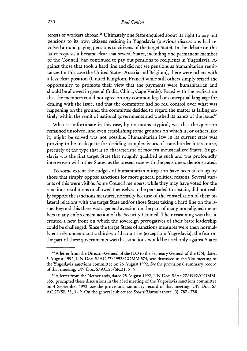terests of workers abroad.<sup>66</sup> Ultimately one State enquired about its right to pay out pensions to its own citizens residing in Yugoslavia (previous discussions had revolved around paying pensions to citizens of the target State). In the debate on this latter request, it became clear that several States, including one permanent member of the Council, had continued to pay out pensions to recipients in Yugoslavia. Against those that took a hard line and did not see pensions as humanitarian remittances (in this case the United States, Austria and Belgium), there were others with a less clear position (United Kingdom, France) while still others simply seized the opportunity to promote their view that the payments were humanitarian and should be allowed in general (India, China, Cape Verde). Faced with the realization that the members could not agree on any common legal or conceptual language for dealing with the issue, and that the committee had no real control over what was happening on the ground, the committee decided to regard the matter as falling entirely within the remit of national governments and washed its hands of the issue.<sup>67</sup>

What is unfortunate in this case, by no means atypical, was that the question remained unsolved, and even establishing some grounds on which it, or others like it, might be solved was not possible. Humanitarian law in its current state was proving to be inadequate for deciding complex issues of trans-border intercourse, precisely of the type that is so characteristic of modern industrialized States. Yugoslavia was the first target State that roughly qualified as such and was profoundly interwoven with other States, as the present case with the pensioners demonstrated.

To some extent the cudgels of humanitarian mitigation have been taken up by those that simply oppose sanctions for more general political reasons. Several variants of this were visible. Some Council members, while they may have voted for the sanctions resolutions or allowed themselves to be persuaded to abstain, did not really support the sanctions measures, normally because of the constellation of their bilateral relations with the target State and/or those States taking a hard line on the issue. Beyond this there was a general aversion on the part of many non-aligned members to any enforcement action of the Security Council. Their reasoning was that it created a new front on which the sovereign prerogatives of their State leadership could be challenged. Since the target States of sanctions measures were then normally entirely undemocratic third-world countries (exception: Yugoslavia), the fear on the part of these governments was that sanctions would be used only against States

- --

<sup>&</sup>lt;sup>66</sup> A letter from the Director-General of the ILO to the Secretary-General of the UN, dated 3 August 1992, UN Doc. S/AC.27/1992/COMM.574, was discussed in the 31st meeting of the Yugoslavia sanctions committee on 26 August 1992. *See* the provisional summary record of that meeting, UN Doc. S/AC.25/SR.31, 5 - 9.

<sup>67</sup>A letter from the Netherlands, dated 25 August 1992, UN Doc. S/Ac.27/1992/COMM. 655, prompted these discussions in the 33rd meeting of the Yugoslavia sanctions committee on **4** September 1992. *See* the provisional summary record of that meeting, UN Doc. S/ AC.27/SR.33,3 - 9. On the general subject see *Scharf/Dorosin* (note 13), 787 - 788.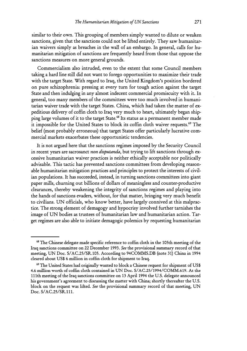similar to their own. This grouping of members simply wanted to dilute or weaken sanctions, given that the sanctions could not be lifted entirely. They saw humanitarian waivers simply as breaches in the wall of an embargo. In general, calls for humanitarian mitigation of sanctions are frequently heard from those that oppose the sanctions measures on more general grounds.

Commercialism also intruded, even to the extent that some Council members taking a hard line still did not want to forego opportunities to maximize their trade with the target State. With regard to Iraq, the United Kingdom's position bordered on pure schizophrenia: pressing at every turn for tough action against the target State and then indulging in any almost indecent commercial promiscuity with it. In general, too many members of the committees were too much involved in humanitarian waiver trade with the target States. China, which had taken the matter of expeditious delivery of coffin cloth to Iraq very much to heart, ultimately began shipping large volumes of it to the target State.<sup>68</sup> Its status as a permanent member made it impossible for the United States to block its coffin cloth waiver requests.<sup>69</sup> The belief (most probably erroneous) that target States offer particularly lucrative commercial markets exacerbates these opportunistic tendencies.

It is not argued here that the sanctions regimes imposed by the Security Council in recent years are sacrosanct non disputanda, but trying to lift sanctions through excessive humanitarian waiver practices is neither ethically acceptable nor politically advisable. This tactic has prevented sanctions committees from developing reasonable humanitarian mitigation practices and principles to protect the interests of civilian populations. It has succeeded, instead, in turning sanctions committees into giant paper mills, churning out billions of dollars of meaningless and counter-productive clearances, thereby weakening the integrity of sanctions regimes and playing into the hands of sanctions evaders, without, for that matter, bringing very much benefit to civilians. UN officials, who know better, have largely connived at this malpractice. The strong element of demagogy and hypocrisy involved further tarnishes the image of UN bodies as trustees of humanitarian law and humanitarian action. Target regimes are also able to initiate demagogic polemics by requesting humanitarian

<sup>&</sup>lt;sup>68</sup> The Chinese delegate made specific reference to coffin cloth in the 105th meeting of the Iraq sanctions committee on 22 December 1993. *See* the provisional summary record of that meeting, UN Doc. S/AC.25/SR.105. According to 94COMMS.DB (note 31) China in 1994 cleared about US\$6 million in coffin cloth for shipment to Iraq.

<sup>69</sup> The United States had originally wanted to block a Chinese request for shipment of US\$ 4.6 million worth of coffin cloth contained in UN Doc. S/AC.25/1994/COMM.619. At the 111th meeting of the Iraq sanctions committee on 13 April 1994 the U.S. delegate announced his government's agreement to discussing the matter with China; shortly thereafter the U.S. block on the request was lifted. *See* the provisional summary record of that meeting, UN Doc. S/AC.25/SR.111.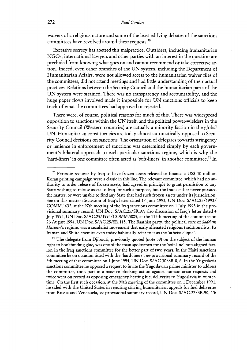waivers of a religious nature and some of the least edifying debates of the sanctions committees have revolved around these requests. $70$ 

Excessive secrecy has abetted this malpractice. Outsiders, including humanitarian NGOs, international lawyers and other parties with an interest in the question are precluded from knowing what goes on and cannot recommend or take corrective action. Indeed, even other branches of the UN system, including the Department of Humanitarian Affairs, were not allowed access to the humanitarian waiver files of the committees, did not attend meetings and had little understanding of their actual practices. Relations between the Security Council and the humanitarian parts of the UN system were strained. There was no transparency and accountability, and the huge paper flows involved made it impossible for UN sanctions officials to keep track of what the committees had approved or rejected.

There were, of course, political reasons for much of this. There was widespread opposition to sanctions within the UN itself, and the political power-wielders in the Security Council (Western countries) are actually a minority faction in the global UN. Humanitarian constituencies are today almost automatically opposed to Security Council decisions on sanctions. The orientation of delegates towards stringency or lenience in enforcement of sanctions was determined simply by each government's bilateral approach to each particular sanctions regime, which is why the 'hard-liners' in one committee often acted as 'soft-liners' in another committee.<sup>71</sup> In

 $71$  The delegate from Djibouti, previously quoted (note 59) on the subject of the human right to bookbinding glue, was one of the main spokesmen for the 'soft-line' non-aligned faction in the Iraq sanctions committee for the better part of two years. In the Haiti sanctions committee he on occasion sided with the 'hard-liners', see provisional summary record of the 8th meeting of that committee on 1 June 1994, UN Doc. S/AC.30/SR.8,6. In the Yugoslavia sanctions committee he opposed a request to invite the Yugoslavian prime minister to address the committee, took part in a massive blocking action against humanitarian requests and twice went on record as opposing emergency heating fuel deliveries to Yugoslavia in wintertime. On the first such occasion, at the 90th meeting of the committee on 1 December 1991, he sided with the United States in rejecting stirring humanitarian appeals for fuel deliveries from Russia and Venezuela, see provisional summary record, UN Doc. S/AC.27/SR.90, 13:

<sup>&</sup>lt;sup>70</sup> Periodic requests by Iraq to have frozen assets released to finance a US\$ 10 million Koran printing campaign were a dassic in this line. The relevant committee, which had no authority to order release of frozen assets, had agreed in principle to grant permission to any State wishing to release assets to Iraq for such a purpose, but the Iraqis either never pursued the matter, or were unable to find any State that had such frozen assets under its jurisdiction. See on this matter discussion of Iraq's letter dated 17 June 1993, UN Doc. S/AC.25/1993/ COMM.1632, at the 97th meeting of the Iraq sanctions committee on 1 July 1993 in the provisional summary record, UN Doc. S/AC.25/SR.97; also discussion of Iraq's letter dated 4 July 1994, UN Doc. S/AC.25/1994/COMM.3805, at the 115th meeting of the committee on 26 August 1994, UN Doc. S/AC.25/SR.115. The Baathist party, the political core of Saddam Hussein's regime, was a secularist movement that early alienated religious traditionalists. Its Iranian and Shiite enemies even today habitually refer to it as the 'atheist clique'.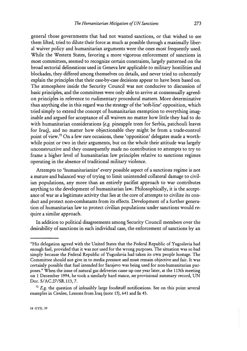general those governments that had not wanted sanctions, or that wished to see them lifted, tried to dilute their force as much as possible through a maximally liberal waiver policy and humanitarian arguments were the ones most frequently used. While the Western States, favoring a more vigorous enforcement of sanctions in most committees, seemed to recognize certain constraints, largely patterned on the broad sectorial delineations used in Geneva law applicable to military hostilities and blockades, they differed among themselves on details, and never tried to coherently explain the principles that their case-by-case decisions appear to have been based on. The atmosphere inside the Security Council was not conducive to discussion of basic principles, and the committees were only able to arrive at consensually agreedon principles in reference to rudimentary procedural matters. More determinative than anything else in this regard was the strategy of the 'soft-line' opposition, which tried simply to extend the concept of humanitarian exemption to everything imaginable and argued for acceptance of all waivers no matter how little they had to do with humanitarian considerations (e.g. pineapple trees for Serbia, patchouli leaves for Iraq), and no matter how objectionable they might be from a trade-control point of view." On a few rare occasions, these 'opposition' delegates made a worthwhile point or two in their arguments, but on the whole their attitude was largely unconstructive and they consequently made no contribution to attempts to try to frame a higher level of humanitarian law principles relative to sanctions regimes operating in the absence of traditional military violence.

Attempts to 'humanitarianize' every possible aspect of a sanctions regime is not a mature and balanced way of trying to limit unintended collateral damage to civilian populations, any more than an entirely pacifist approach to war contributes anything to the development of humanitarian law. Philosophically, it is the acceptance of war as a legitimate activity that lies at the core of attempts to civilize its conduct and protect non-combatants from its effects. Development of a further generation of humanitarian law to protect civilian populations under sanctions would require a similar approach.

In addition to political disagreements among Security Council members over the desirability of sanctions in each individual case, the enforcement of sanctions by an

<sup>&</sup>quot;His delegation agreed with the United States that the Federal Republic of Yugoslavia had enough fuel, provided that it was not used for the wrong purposes. The situation was so bad simply because the Federal Republic of Yugoslavia had taken its own people hostage. The Committee should not give in to media pressure and must remain objective and fair. It was certainly possible that fuel intended for Sarajevo was being used for non-humanitarian purposes." When the issue of natural gas deliveries came up one year later, at the 113th meeting on **1** December 1994, he took a similarly hard stance, *see* provisional summary record, UN Doc. S/AC.27/SR.113,7.

**<sup>72</sup>***E.g.* the question of infeasibly large foodstuff notifications. See on this point several examples in *Conlon,* Lessons from Iraq (note 13), 641 and fn 45.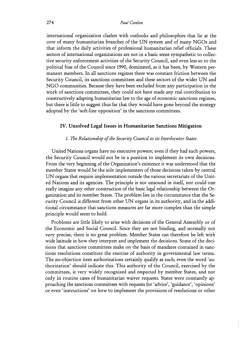international organization clashes with outlooks and philosophies that lie at the core of many humanitarian branches of the UN system and of many NGOs and that inform the daily activities of professional humanitarian relief officials. These sectors of international organizations are not in a basic sense sympathetic to collective security enforcement activities of the Security Council, and even less so to the political bias of the Council since 1990, dominated, as it has been, by Western permanent members. In all sanctions regimes there was constant friction between the Security Council, its sanctions committees and these sectors of the wider UN and NGO communities. Because they have been excluded from any participation in the work of sanctions committees, they could not have made any real contribution to constructively adapting humanitarian law to the age of economic sanctions regimes, but there is little to suggest thus far that they would have gone beyond the strategy adopted by the 'soft-line opposition' in the sanctions committees.

#### **IV. Unsolved Legal Issues in Humanitarian Sanctions Mitigation**

#### *I. The Relationship of the Security Council to its Intevlocutor States*

United Nations organs have no executive powers; even if they had such powers, the Security Council would not be in a position to implement its own decisions. From the very beginning of the Organization's existence it was understood that the member States would be the sole implementers of those decisions taken by central UN organs that require implementation outside the various secretariats of the United Nations and its agencies. The principle is not unsound in itself, nor could one really imagine any other construction of the basic legal relationship between the Organization and its member States. The problem lies in the circumstance that the Security Council is different from other UN organs in its authority, and in the additional circumstance that sanctions measures are far more complex than the simple principle would seem to hold.

Problems are little likely to arise with decisions of the General Assembly or of the Economic and Social Council. Since they are not binding, and normally not very precise, there is no great problem. Member States can therefore be left with wide latitude in how they interpret and implement the decisions. Some of the decisions that sanctions committees make on the basis of mandates contained in sanctions resolutions constitute the exercise of authority in governmental law terms. The no-objection item authorizations certainly qualify as such; even the word 'authorization' should indicate this. This authority of the Council, exercised by the committees, is very widely recognized and respected by member States, and not only in routine cases of humanitarian waiver requests. States were constantly approaching the sanctions committees with requests for 'advice', 'guidance', 'opinions' or even 'instructions' on how to implement the provisions of resolutions or other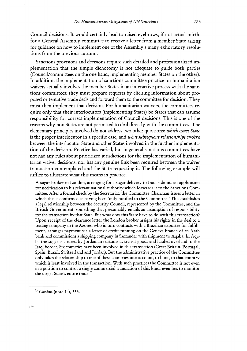Council decisions. It would certainly lead to raised eyebrows, if not actual mirth, for a General Assembly committee to receive a letter from a member State asking for guidance on how to implement one of the Assembly's many exhortatory resolutions from the previous autumn.

Sanctions provisions and decisions require such detailed and professionalized implementation that the simple dichotomy is not adequate to guide both parties (Council/committees on the one hand, implementing member States on the other). In addition, the implementation of sanctions committee practice on humanitarian waivers actually involves the member States in an interactive process with the sanctions committees: they must prepare requests by eliciting information about proposed or tentative trade deals and forward them to the committee for decision. They must then implement that decision. For humanitarian waivers, the committees require only that their interlocutors (implementing States) be States that can assume responsibility for correct implementation of Council decisions. This is one of the reasons why non-States are not permitted to deal directly with the committees. The elementary principles involved do not address two other questions: *which exact State*  is the proper interlocutor in a specific case, and *what subsequent relationships* evolve between the interlocutor State and other States involved in the further implementation of the decision. Practice has varied, but in general sanctions committees have not had any rules about prioritized jurisdictions for the implementation of humanitarian waiver decisions, nor has any genuine link been required between the waiver transaction contemplated and the State requesting it. The following example will suffice to illustrate what this means in practice.

A sugar broker in London, arranging for a sugar delivery to Iraq, submits an application for notification to his relevant national authority which forwards it to the Sanctions Committee. After a formal check by the Secretariat, the Committee Chairman issues a letter in which this is confirmed as having been 'duly notified to the Committee.' This establishes a legal relationship between the Security Council, represented by the Committee, and the British Government, something that presumably entails an assumption of responsibility for the transaction by that State. But what does this State have to do with this transaction? Upon receipt of the clearance letter the London broker assigns his rights in the deal to a trading company in the Azores, who in turn contracts with a Brazilian exporter for fulfillment, arranges payment via a letter of credit running on the Geneva branch of an Arab bank and commissions a shipping company in Santander with shipment to Aqaba. In Aqaba the sugar is cleared by Jordanian customs as transit goods and hauled overland to the Iraqi border. Six countries have been involved in this transaction (Great Britain, Portugal, Spain, Brazil, Switzerland and Jordan). But the administrative practice of the Committee only takes the relationship to one of these countries into account, to boot, to that country which is least involved in the transaction. With such practices the Committee is not even in a position to control a single commercial transaction of this kind, even less to monitor the target State's entire trade."

" *Conlon* (note 14), *333.*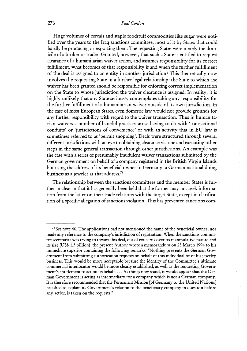Huge volumes of cereals and staple foodstuff commodities like sugar were notified over the years to the Iraq sanctions committee, most of it by States that could hardly be producing or exporting them. The requesting States were merely the domicile of a broker or trader. Granted, however, that such a State is entitled to request clearance of a humanitarian waiver action, and assumes responsibility for its correct fulfillment, what becomes of that responsibility if and when the further fulfillment of the deal is assigned to an entity in another jurisdiction? This theoretically now involves the requesting State in a further legal relationship: the State to which the waiver has been granted should be responsible for enforcing correct implementation on the State to whose jurisdiction the waiver clearance is assigned. In reality, it is highly unlikely that any State seriously contemplates taking any responsibility for the further fulfillment of a humanitarian waiver outside of its own jurisdiction. In the case of most European States, even domestic law would not provide grounds for any further responsibility with regard to the waiver transaction. Thus in humanitarian waivers a number of baneful practices arose having to do with 'transactional conduits' or 'jurisdictions of convenience' or with an activity that in EU law is sometimes referred to as 'permit shopping'. Deals were structured through several different jurisdictions with an eye to obtaining clearance via one and executing other steps in the same general transaction through other jurisdictions. An example was the case with a series of presumably fraudulent waiver transactions submitted by the German government on behalf of a company registered in the British Virgin Islands but using the address of its beneficial owner in Germany, a German national doing business as a jeweler at that address.<sup>74</sup>

The relationship between the sanctions committees and the member States is further unclear in that it has generally been held that the former may not seek information from the latter on their trade relations with the target State, except in clarification of a specific allegation of sanctions violation. This has prevented sanctions com-

**<sup>74</sup>**See note 46. The applications had not mentioned the name of the beneficial owner, nor made any reference to the company's jurisdiction of registration. When the sanctions committee secretariat was trying to thwart this deal, out of concerns over its manipulative nature and its size (US\$ 1.3 billion), the present Author wrote a memorandum on **23** March 1994 to his immediate superior containing the following remarks: "Nothing prevents the German Government from submitting authorization requests on behalf of this individual or of his jewelry business. This would be more acceptable because the identity of the Committee's ultimate commercial interlocutor would be more clearly established, as well as the requesting Government's entitlement to act on its behalf. . . . As things now stand, it would appear that the German Government is acting as intermediary for a company which is not a German company. It is therefore recommended that the Permanent Mission [of Germany to the United Nations] be asked to explain its Government's relation to the beneficiary company in question before any action is taken on the requests."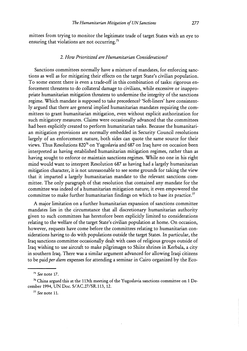mittees from trying to monitor the legitimate trade of target States with an eye to ensuring that violations are not occurring.<sup>75</sup>

#### *2. How Prioritized are Humanitarian Considerations?*

Sanctions committees normally have a mixture of mandates, for enforcing sanctions as well as for mitigating their effects on the target State's civilian population. To some extent there is even a trade-off in this combination of tasks: rigorous enforcement threatens to do collateral damage to civilians, while excessive or inappropriate humanitarian mitigation threatens to undermine the integrity of the sanctions regime. Which mandate is supposed to take precedence? 'Soft-liners' have consistently argued that there are general implied humanitarian mandates requiring the committees to grant humanitarian mitigation, even without explicit authorization for such mitigatory measures. Claims were occasionally advanced that the committees had been explicitly created to perform humanitarian tasks. Because the humanitarian mitigation provisions are normally embedded in Security Council resolutions largely of an enforcement nature, both sides can quote the same source for their views. Thus Resolutions 82076 on Yugoslavia and 687 on Iraq have on occasion been interpreted as having established humanitarian mitigation regimes, rather than as having sought to enforce or maintain sanctions regimes. While no one in his right mind would want to interpret Resolution 687 as having had a largely humanitarian mitigation character, it is not unreasonable to see some grounds for taking the view that it imparted a largely humanitarian mandate to the relevant sanctions committee. The only paragraph of that resolution that contained any mandate for the committee was indeed of a humanitarian mitigation nature; it even empowered the committee to make further humanitarian findings on which to base its practice.<sup>77</sup>

A major limitation on a further humanitarian expansion of sanctions committee mandates lies in the circumstance that all discretionary humanitarian authority given to such committees has heretofore been explicitly limited to considerations relating to the welfare of the target State's civilian population at home. On occasion, however, requests have come before the committees relating to humanitarian considerations having to do with populations outside the target States. In particular, the Iraq sanctions committee occasionally dealt with cases of religious groups outside of Iraq wishing to use aircraft to make pilgrimages to Shiite shrines in Kerbala, a city in southern Iraq. There was a similar argument advanced for allowing Iraqi citizens to be paid *per diem* expenses for attending a seminar in Cairo organized by the Eco-

**<sup>75</sup>***See* note 17.

**<sup>76</sup>** China argued this at the 113th meeting of the Yugoslavia sanctions committee on 1 December 1994, UN Doc. S/AC.27/SR.113, 12.

**<sup>77</sup>** *See* note 11.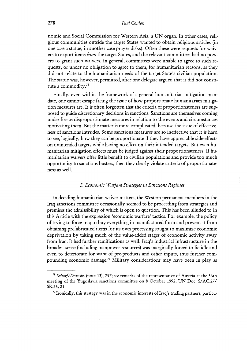nomic and Social Commission for Western Asia, a UN organ. In other cases, religious communities outside the target States wanted to obtain religious articles (in one case a statue, in another case prayer disks). Often these were requests for waivers to export items *from* the target States, and the relevant committees had no powers to grant such waivers. In general, committees were unable to agree to such requests, or under no obligation to agree to them, for humanitarian reasons, **as** they did not relate to the humanitarian needs of the target State's civilian population. The statue was, however, permitted, after one delegate argued that it did not constitute a commodity.78

Finally, even within the framework of a general humanitarian mitigation mandate, one cannot escape facing the issue of how proportionate humanitarian mitigation measures are. It is often forgotten that the criteria of proportionateness are supposed to guide discretionary decisions in sanctions. Sanctions are themselves coming under fire as disproportionate measures in relation to the events and circumstances motivating them. But the matter is more complicated, because the issue of effectiveness of sanctions intrudes. Some sanctions measures are so ineffective that it is hard to see, logically, how they can be proportionate if they have appreciable side-effects on unintended targets while having no effect on their intended targets. But even humanitarian mitigation effects must be judged against their proportionateness. If humanitarian waivers offer little benefit to civilian populations and provide too much opportunity to sanctions busters, then they clearly violate criteria of proportionateness **as** well.

#### *3. Economic Wavfdre Strategies in Sanctions Regimes*

In deciding humanitarian waiver matters, the Western permanent members in the Iraq sanctions committee occasionally seemed to be proceeding from strategies and premises the admissibility of which is open to question. This has been alluded to in this Article with the expression 'economic warfare' tactics. For example, the policy of trying to force Iraq to buy everything in manufactured form and prevent it from obtaining prefabricated items for its own processing sought to maximize economic deprivation by taking much of the value-added stages of economic activity away from Iraq. It had further ramifications as well. Iraq's industrial infrastructure in the broadest sense (including manpower resources) was marginally forced to lie idle and even to deteriorate for want of pre-products and other inputs, thus further compounding economic damage.79 Military considerations may have been in play as

**<sup>78</sup>***SchaYf/Do~osin* (note 13), 797; *see* remarks of the representative of Austria at the 36th meeting of the Yugoslavia sanctions committee on 8 October 1992, UN Doc. S/AC.27/ SR.36,21.

**<sup>79</sup>** Ironically, this strategy was in the economic interests of Iraq's trading partners, particu-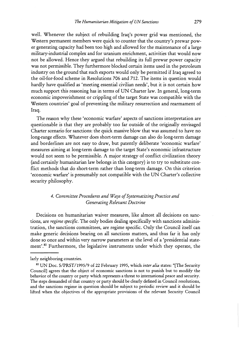well. Whenever the subject of rebuilding Iraq's power grid was mentioned, the Western permanent members were quick to counter that the country's prewar power generating capacity had been too high and allowed for the maintenance of a large military-industrial complex and for uranium enrichment, activities that would now not be allowed. Hence they argued that rebuilding its full prewar power capacity was not permissible. They furthermore blocked certain items used in the petroleum industry on the ground that such exports would only be permitted if Iraq agreed to the oil-for-food scheme in Resolutions 706 and 712. The items in question would hardly have qualified as 'meeting essential civilian needs', but it is not certain how much support this reasoning has in terms of UN Charter law. In general, long-term economic impoverishment or crippling of the target State was compatible with the Western countries' goal of preventing the military resurrection and rearmament of Iraq.

The reason why these 'economic warfare' aspects of sanctions interpretation are questionable is that they are probably too far outside of the originally envisaged Charter scenario for sanctions: the quick massive blow that was assumed to have no long-range effects. Whatever does short-term damage can also do long-term damage and borderlines are not easy to draw, but patently deliberate 'economic warfare' measures aiming at long-term damage to the target State's economic infrastructure would not seem to be permissible. A major strategy of conflict civilization theory (and certainly humanitarian law belongs in this category) is to try to substitute conflict methods that do short-term rather than long-term damage. On this criterion 'economic warfare' is presumably not compatible with the UN Charter's collective security philosophy.

#### *4. Committee Procedures and Ways of Systematizing Practice and Generating Relevant Doctrine*

Decisions on humanitarian waiver measures, like almost all decisions on sanctions, are *regime specific.* The only bodies dealing specifically with sanctions administration, the sanctions committees, are regime specific. Only the Council itself can make generic decisions bearing on all sanctions matters, and thus far it has only done so once and within very narrow parameters at the level of a 'presidential statement'.<sup>80</sup> Furthermore, the legislative instruments under which they operate, the

larly neighboring countries.

UN DOC. S/PRST/1995/9 of **22** February 1995, which *inter alia* states: "[The Security Council] agrees that the object of economic sanctions is not to punish but to modify the behavior of the country or party which represents a threat to international peace and security. The steps demanded of that country or party should be clearly defined in Council resolutions, and the sanctions regime in question should be subject to periodic review and it should be lifted when the objectives of the appropriate provisions of the relevant Security Council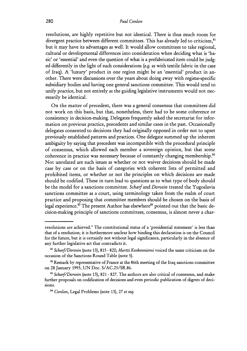resolutions, are highly repetitive but not identical. There is thus much room for divergent practice between different committees. This has already led to criticism,<sup>81</sup> but it may have its advantages as well. It would allow committees to take regional, cultural or developmental differences into consideration when deciding what is 'basic' or 'essential' and even the question of what is a prefabricated item could be judged differently in the light of such considerations (e.g. as with textile fabric in the case of Iraq). A 'luxury' product in one region might be an 'essential' product in another. There were discussions over the years about doing away with regime-specific subsidiary bodies and having one general sanctions committee. This would tend to unify practice, but not entirely as the guiding legislative instruments would not necessarily be identical.

On the matter of precedent, there was a general consensus that committees did not work on this basis, but that, nonetheless, there had to be some coherence or consistency in decision-making. Delegates frequently asked the secretariat for information on previous practice, precedents and similar cases in the past. Occasionally delegates consented to decisions they had originally opposed in order not to upset previously established patterns and practices. One delegate summed up the inherent ambiguity by saying that precedent was incompatible with the procedural principle of consensus, which allowed each member a sovereign opinion, but that some coherence in practice was necessary because of constantly changing membership. $82$ Not unrelated are such issues as whether or not waiver decisions should be made case by case or on the basis of categories with coherent lists of permitted and prohibited items, or whether or not the principles on which decisions are made should be codified. These in turn lead to questions as to what type of body should be the model for a sanctions committee. Scharf and *Dorosin* treated the Yugoslavia sanctions committee as a court, using terminology taken from the realm of court practice and proposing that committee members should be chosen on the basis of legal experience.<sup>83</sup> The present Author has elsewhere<sup>84</sup> pointed out that the basic decision-making principle of sanctions committees, consensus, is almost never a char-

resolutions are achieved." The constitutional status of a 'presidential statement' is less than that of a resolution; it is furthermore unclear how binding this declaration is on the Council for the future, but it is certainly not without legal significance, particularly in the absence of any further legislative act that contradicts it.

<sup>&</sup>lt;sup>81</sup> Scharf/Dorosin (note 13), 815 - 820; *Martti Koskenniemi* voiced the same criticism on the occasion of the Sanctions Round Table (note 5).

<sup>&</sup>lt;sup>82</sup> Remark by representative of France at the 86th meeting of the Iraq sanctions committee on 28 January 1993, UN Doc. S/AC.25/SR.86.

<sup>&</sup>lt;sup>83</sup> *Scharf/Dorosin* (note 13), 821 - 827. The authors are also critical of consensus, and make further proposals on codification of decisions and even periodic publication of digests of decisions.

**<sup>84</sup>** *Conlon,* Legal Problems (note 13), 27 *et seq.*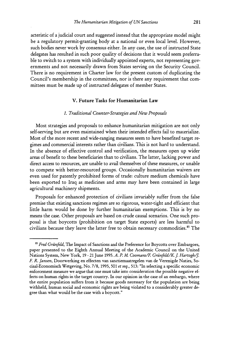acteristic of a judicial court and suggested instead that the appropriate model might be a regulatory permit-granting body at a national or even local level. However, such bodies never work by consensus either. In any case, the use of instructed State delegates has resulted in such poor quality of decisions that it would seem preferrable to switch to a system with individually appointed experts, not representing governments and not necessarily drawn from States serving on the Security Council. There is no requirement in Charter law for the present custom of duplicating the Council's membership in the committees, nor is there any requirement that committees must be made up of instructed delegates of member States.

#### **V. Future Tasks for Humanitarian Law**

#### *1. Traditional Counter-Strategies and New Proposals*

Most strategies and proposals to enhance humanitarian mitigation are not only self-serving but are even maintained when their intended effects fail to materialize. Most of the more recent and wide-ranging measures seem to have benefited target regimes and commercial interests rather than civilians. This is not hard to understand. In the absence of effective control and verification, the measures open up wider areas of benefit to these beneficiaries than to civilians. The latter, lacking power and direct access to resources, are unable to avail themselves of these measures, or unable to compete with better-resourced groups. Occasionally humanitarian waivers are even used for patently prohibited forms of trade: culture medium chemicals have been exported to Iraq as medicines and arms may have been contained in large agricultural machinery shipments.

Proposals for enhanced protection of civilians invariably suffer from the false premise that existing sanctions regimes are so rigorous, water-tight and efficient that little harm would be done by further humanitarian exemptions. This is by no means the case. Other proposals are based on crude causal scenarios. One such proposal is that boycotts (prohibition on target State exports) are less harmful to civilians because they leave the latter free to obtain necessary commodities.<sup>85</sup> The

**<sup>85</sup>***Fred Griinfeld,* The Impact of Sanctions and the Preference for Boycotts over Embargoes, paper presented to the Eighth Annual Meeting of the Academic Council on the United Nations System, New York, 19 - 21 June 1995. A. P. M. Coomans/F. Grünfeld/K. J. Hartogh/J. *F. R. Jansen,* Doorwerking en effecten van sanctiemaatregelen van de Verenigde Naties, Sociaal-Economisch Wetgeving, No. 7/8, 1995, 501 et seq., 513: "In selecting a specific economic enforcement measure we argue that one must take into consideration the possible negative effects on human rights in the target country. In our opinion in the case of an embargo, where the entire population suffers from it because goods necessary for the population are being withheld, human social and economic rights are being violated to a considerably greater degree than what would be the case with a boycott."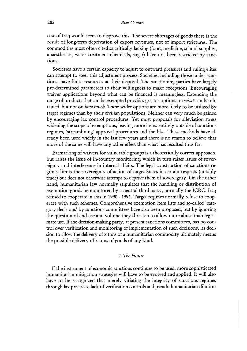case of Iraq would seem to disprove this. The severe shortages of goods there is the result of long-term deprivation of export revenues, not of import strictures. The commodities most often cited as critically lacking (food, medicine, school supplies, anaesthetics, water treatment chemicals, sugar) have not been restricted by sanctions.

Societies have a certain capacity to adjust to outward pressures and ruling elites can attempt to steer this adjustment process. Societies, including those under sanctions, have finite resources at their disposal. The sanctioning parties have largely pre-determined parameters to their willingness to make exceptions. Encouraging waiver applications beyond what can be financed is meaningless. Extending the range of products that can be exempted provides greater options on *what* can be obtained, but not on *how much.* These wider options are more likely to be utilized by target regimes than by their civilian populations. Neither can very much be gained by encouraging lax control procedures. Yet most proposals for alleviation stress widening the scope of exemptions, leaving more items entirely outside of sanctions regimes, 'streamlining' approval procedures and the like. These methods have already been used widely in the last few years and there is no reason to believe that more of the same will have any other effect than what has resulted thus far.

Earmarking of waivers for vulnerable groups is a theoretically correct approach, but raises the issue of in-country monitoring, which in turn raises issues of sovereignty and interference in internal affairs. The legal construction of sanctions regimes limits the sovereignty of action of target States in certain respects (notably trade) but does not otherwise attempt to deprive them of sovereignty. On the other hand, humanitarian law normally stipulates that the handling or distribution of exemption goods be monitored by a neutral third party, normally the ICRC. Iraq refused to cooperate in this in 1990 - 1991. Target regimes normally refuse to cooperate with such schemes. Comprehensive exemption item lists and so-called 'category decisions' by sanctions committees have also been proposed, but by ignoring the question of end-use and volume they threaten to allow more abuse than legitimate use. If the decision-making party, at present sanctions committees, has no control over verification and monitoring of implementation of such decisions, its decision to allow the delivery of x tons of a humanitarian commodity ultimately means the possible delivery of x tons of goods of any kind.

#### *2. The Future*

If the instrument of economic sanctions continues to be used, more sophisticated humanitarian mitigation strategies will have to be evolved and applied. It will also have to be recognized that merely vitiating the integrity of sanctions regimes through lax practices, lack of verification controls and pseudo-humanitarian dilution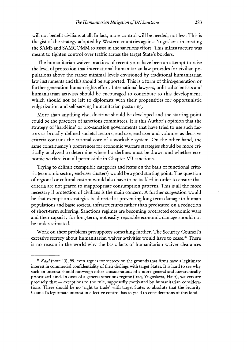will not benefit civilians at all. In fact, more control will be needed, not less. This is the gist of the strategy adopted by Western countries against Yugoslavia in creating the SAMS and SAMCOMM to assist in the sanctions effort. This infrastructure was meant to tighten control over traffic across the target State's borders.

The humanitarian waiver practices of recent years have been an attempt to raise the level of protection that international humanitarian law provides for civilian populations above the rather minimal levels envisioned by traditional humanitarian law instruments and this should be supported. This is a form of third-generation or further-generation human rights effort. International lawyers, political scientists and humanitarian activists should be encouraged to contribute to this development, which should not be left to diplomats with their propensities for opportunistic vulgarization and self-serving humanitarian posturing.

More than anything else, doctrine should be developed and the starting point could be the practices of sanctions committees. It is this Author's opinion that the strategy of 'hard-line' or pro-sanction governments that have tried to use such factors as broadly defined societal sectors, end-use, end-user and volumes as decisive criteria contains the rational core of a workable system. On the other hand, the same constituency's preferences for economic warfare strategies should be more critically analyzed to determine where borderlines must be drawn and whether economic warfare is at all permissible in Chapter VII sanctions.

Trying to delimit exemptible categories and items on the basis of functional criteria (economic sector, end-user clusters) would be a good starting point. The question of regional or cultural custom would also have to be tackled in order to ensure that criteria are not geared to inappropriate consumption patterns. This is all the more necessary if protection of civilians is the main concern. A further suggestion would be that exemption strategies be directed at preventing long-term damage to human populations and basic societal infrastructures rather than predicated on a reduction of short-term suffering. Sanctions regimes are becoming protracted economic wars and their capacity for long-term, not easily reparable economic damage should not be underestimated.

Work on these problems presupposes something further. The Security Council's excessive secrecy about humanitarian waiver activities would have to cease.<sup>86</sup> There is no reason in the world why the basic facts of humanitarian waiver clearances

*s6 Kaul* (note 13), *99,* even argues for secrecy on the grounds that firms have a legitimate interest in commercial confidentiality of their dealings with target States. It is hard to see why such an interest should outweigh other considerations of a more general and hierarchically prioritized kind. In cases of a general sanctions regime (Iraq, Yugoslavia, Haiti), waivers are precisely that - exceptions to the rule, supposedly motivated by humanitarian considerations. There should be no 'right to trade' with target States so absolute that the Security Council's legitimate interest in effective control has to yield to considerations of this kind.